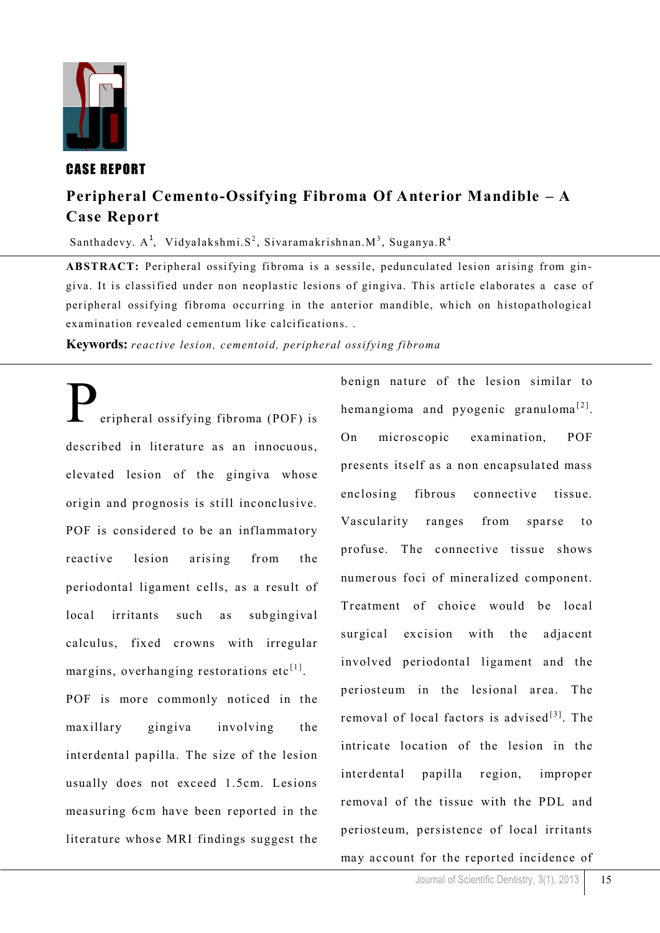

## CASE REPORT

# **Peripheral Cemento-Ossifying Fibroma Of Anterior Mandible – A Case Report**

Santhadevy. A<sup>1</sup>, Vidyalakshmi. S<sup>2</sup>, Sivaramakrishnan. M<sup>3</sup>, Suganya. R<sup>4</sup>

ABSTRACT: Peripheral ossifying fibroma is a sessile, pedunculated lesion arising from gingiva. It is classified under non neoplastic lesions of gingiva. This article elaborates a case of peripheral ossifying fibroma occurring in the anterior mandible, which on histopathological examination revealed cementum like calcifications. .

**Keywords:** *reactive lesion, cementoid, peripheral ossifying fibroma*

eripheral ossifying fibroma (POF) is described in literature as an innocuous, elevated lesion of the gingiva whose origin and prognosis is still inconclusive. POF is considered to be an inflammatory reactive lesion arising from the periodontal ligament cells, as a result of local irritants such as subgingival calculus, fixed crowns with irregular margins, overhanging restorations etc<sup>[1]</sup>. POF is more commonly noticed in the maxillary gingiva involving the interdental papilla. The size of the lesion usually does not exceed 1.5cm. Lesions measuring 6cm have been reported in the literature whose MRI findings suggest the

benign nature of the lesion similar to hemangioma and pyogenic granuloma<sup>[2]</sup>. On microscopic examination, POF presents itself as a non encapsulated mass enclosing fibrous connective tissue. Vascularity ranges from sparse to profuse. The connective tissue shows numerous foci of mineralized component. Treatment of choice would be local surgical excision with the adjacent involved periodontal ligament and the periosteum in the lesional area. The removal of local factors is advised $[3]$ . The intricate location of the lesion in the interdental papilla region, improper removal of the tissue with the PDL and periosteum, persistence of local irritants may account for the reported incidence of

15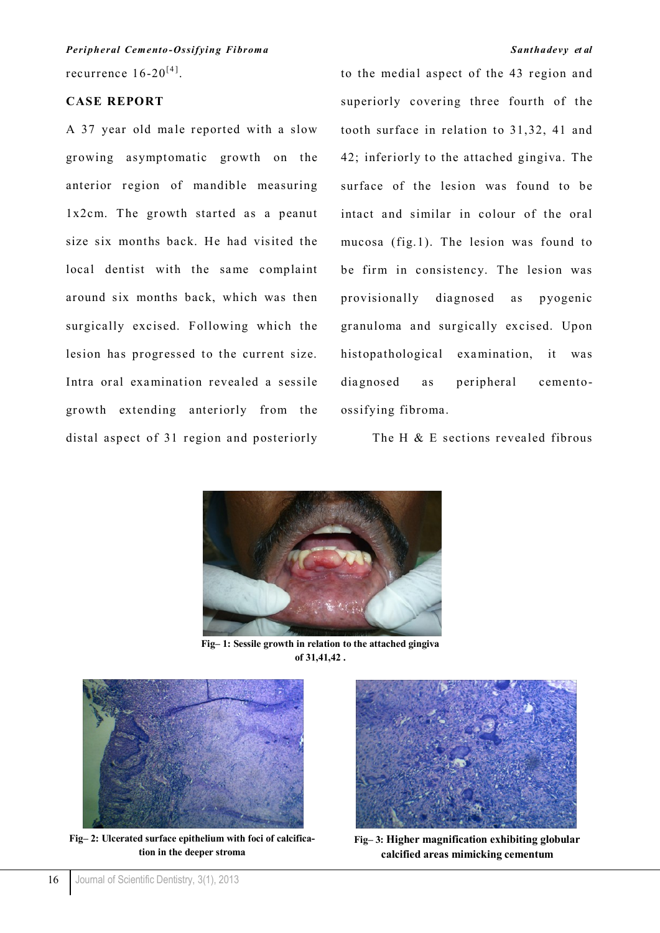recurrence  $16\text{-}20^{[4]}$ . *Peripheral Cemento-Ossifying Fibroma Santhadevy et al*

## **CASE REPORT**

A 37 year old male reported with a slow growing asymptomatic growth on the anterior region of mandible measuring  $1x2cm$ . The growth started as a peanut size six months back. He had visited the local dentist with the same complaint around six months back, which was then surgically excised. Following which the lesion has progressed to the current size. Intra oral examination revealed a sessile growth extending anteriorly from the distal aspect of 31 region and posteriorly to the medial aspect of the 43 region and superiorly covering three fourth of the tooth surface in relation to 31,32, 41 and 42; inferiorly to the attached gingiva. The surface of the lesion was found to be intact and similar in colour of the oral mucosa (fig.1). The lesion was found to be firm in consistency. The lesion was provisionally diagnosed as pyogenic granuloma and surgically excised. Upon histopathological examination, it was diagnosed as peripheral cementoossifying fibroma.

The H & E sections revealed fibrous



**Fig– 1: Sessile growth in relation to the attached gingiva of 31,41,42 .** 



**Fig– 2: Ulcerated surface epithelium with foci of calcification in the deeper stroma**



**Fig– 3: Higher magnification exhibiting globular calcified areas mimicking cementum**

16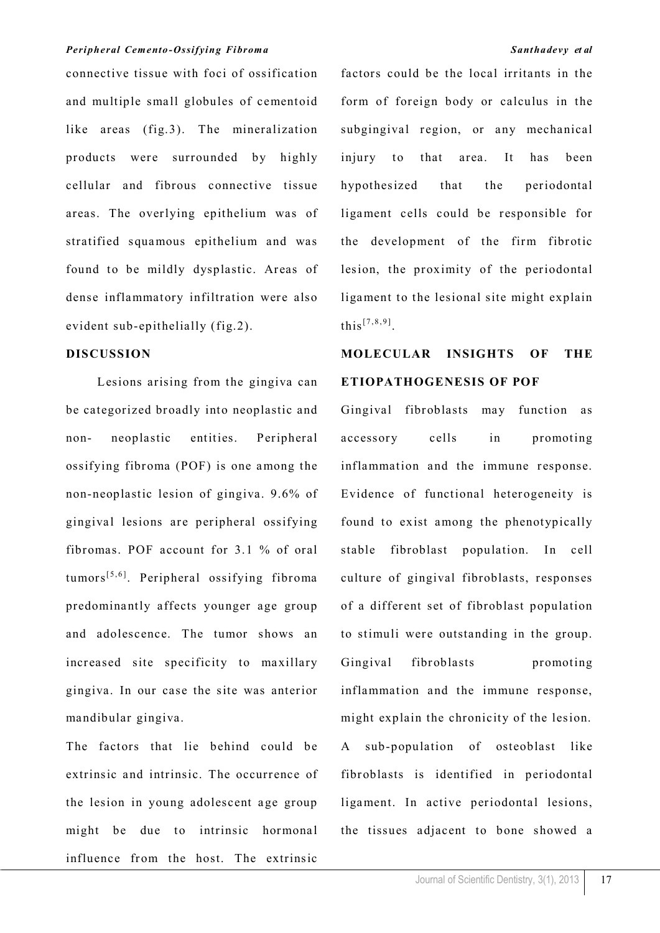### *Peripheral Cemento-Ossifying Fibroma Santhadevy et al*

connective tissue with foci of ossification and multiple small globules of cementoid like areas (fig.3). The mineralization products were surrounded by highly cellular and fibrous connective tissue areas. The overlying epithelium was of stratified squamous epithelium and was found to be mildly dysplastic. Areas of dense inflammatory infiltration were also evident sub-epithelially (fig.2).

### **DISCUSSION**

Lesions arising from the gingiva can be categorized broadly into neoplastic and non- neoplastic entities. Peripheral ossifying fibroma (POF) is one among the non-neoplastic lesion of gingiva. 9.6% of gingival lesions are peripheral ossifying fibromas. POF account for 3.1 % of oral  $tumors<sup>[5,6]</sup>$ . Peripheral ossifying fibroma predominantly affects younger age group and adolescence. The tumor shows an increased site specificity to maxillary gingiva. In our case the site was anterior mandibular gingiva.

The factors that lie behind could be extrinsic and intrinsic. The occurrence of the lesion in young adolescent age group might be due to intrinsic hormonal influence from the host. The extrinsic

factors could be the local irritants in the form of foreign body or calculus in the subgingival region, or any mechanical injury to that area. It has been hypothesized that the periodontal ligament cells could be responsible for the development of the firm fibrotic lesion, the proximity of the periodontal ligament to the lesional site might explain this<sup>[7,8,9]</sup>.

# **MOLECULAR INSIGHTS OF THE ETIOPATHOGENESIS OF POF**

Gingival fibroblasts may function as accessory cells in promoting inflammation and the immune response. Evidence of functional heterogeneity is found to exist among the phenotypically stable fibroblast population. In cell culture of gingival fibroblasts, responses of a different set of fibroblast population to stimuli were outstanding in the group. Gingival fibroblasts promoting inflammation and the immune response, might explain the chronicity of the lesion. A sub-population of osteoblast like fibroblasts is identified in periodontal ligament. In active periodontal lesions, the tissues adjacent to bone showed a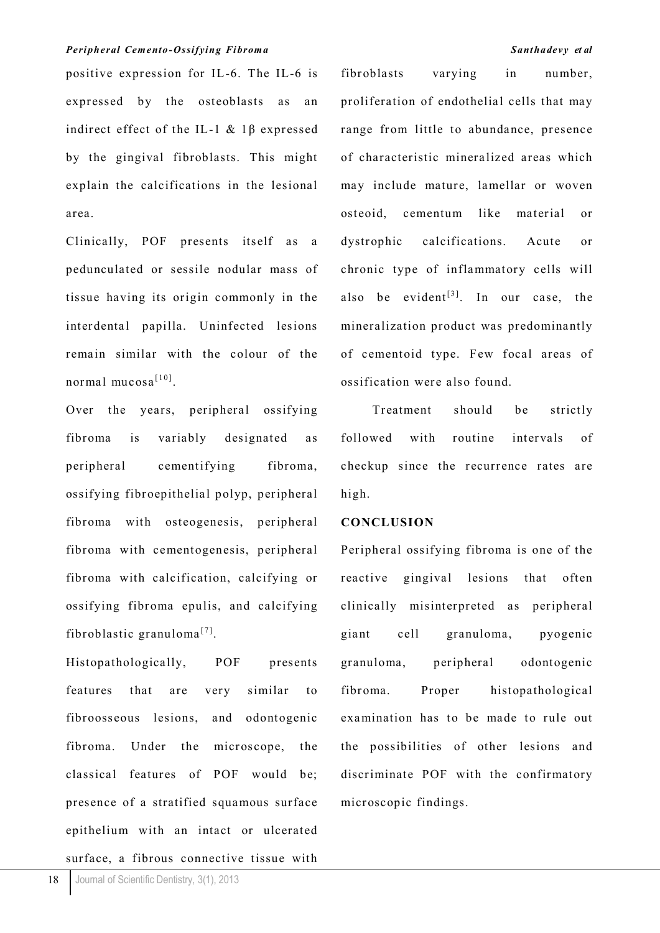### *Peripheral Cemento-Ossifying Fibroma Santhadevy et al*

positive expression for IL-6. The IL-6 is expressed by the osteoblasts as an indirect effect of the IL-1  $\&$  1 $\beta$  expressed by the gingival fibroblasts. This might explain the calcifications in the lesional area.

Clinically, POF presents itself as a pedunculated or sessile nodular mass of tissue having its origin commonly in the interdental papilla. Uninfected lesions remain similar with the colour of the normal mucosa<sup>[10]</sup>.

Over the years, peripheral ossifying fibroma is variably designated as peripheral cementifying fibroma, ossifying fibroepithelial polyp, peripheral fibroma with osteogenesis, peripheral fibroma with cementogenesis, peripheral fibroma with calcification, calcifying or ossifying fibroma epulis, and calcifying fibroblastic granuloma<sup>[7]</sup>.

Histopathologically, POF presents features that are very similar to fibroosseous lesions, and odontogenic fibroma. Under the microscope, the classical features of POF would be; presence of a stratified squamous surface epithelium with an intact or ulcerated surface, a fibrous connective tissue with

fibroblasts varying in number, proliferation of endothelial cells that may range from little to abundance, presence of characteristic mineralized areas which may include mature, lamellar or woven osteoid, cementum like material or dystrophic calcifications. Acute or chronic type of inflammatory cells will also be evident<sup>[3]</sup>. In our case, the mineralization product was predominantly of cementoid type. Few focal areas of ossification were also found.

Treatment should be strictly followed with routine intervals of checkup since the recurrence rates are high.

### **CONCLUSION**

Peripheral ossifying fibroma is one of the reactive gingival lesions that often clinically misinterpreted as peripheral giant cell granuloma, pyogenic granuloma, peripheral odontogenic fibroma. Proper histopathological examination has to be made to rule out the possibilities of other lesions and discriminate POF with the confirmatory microscopic findings.